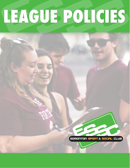# LEAGUE POLICIES

EDMONTON SPORT & SOCIAL CLUB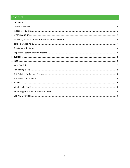# **CONTENTS**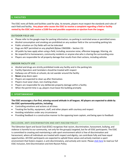# <span id="page-2-0"></span>**1. FACILITIES**

The ESSC rents all fields and facilities used for play. As tenants, players must respect the standards and rules of each field and facility. **Any player who causes the ESSC to receive a complaint regarding a field or facility rented by the ESSC will receive a \$100 fine and possible suspension or ejection from the League.**

# <span id="page-2-1"></span>OUTDOOR FIELD USE

- Please refer to the google maps for parking information; no parking in restricted areas or permitted zones
- Alcohol consumption and smoking are prohibited on any outdoor field or the surrounding parking lots
- Public urination on City fields will not be tolerated
- Dogs are NOT permitted on any playfield (Bylaw 23M2006 Section 15)
- All public by-laws apply when using a field, including; excessive noise, offensive language, littering, etc
- Be respectful to homeowners, community residents or anyone else who is sharing the surrounding area
- Players are responsible for all property damage that results from their actions, including vehicles

### <span id="page-2-2"></span>INDOOR FACILITY USE

- Alcohol and drugs are strictly prohibited inside any facility and in the parking lots
- Facility Operators and Caretakers should be treated with respect
- Hallways are off limits at schools; do not wander around the facility
- **Never** prop doors open
- Players are expected to clean up after themselves
- Players must wear clean, non-marking shoes
- Players are responsible for any deliberate property damage within a facility
- When the permit time is up, players must leave the building promptly

# <span id="page-2-3"></span>**2. SPORTSMANSHIP**

# **The ESSC encourages a fun-first, winning-second attitude in all leagues. All players are expected to abide by the ESSC sportsmanship policies, including:**

- Controlling emotions and actions at all times
- Treating the facility, equipment, staff, and other players with courtesy and respect
- Avoiding retaliation under any circumstance
- Providing feedback in a constructive manner to the opposing team captain, and being open to feedback

# <span id="page-2-4"></span>INCLUSION, ANTI-DISCRIMINATION AND ANTI-RACISM POLICY

The Edmonton Sport and Social Club (ESSC) recognizes that racism, discrimination, harassment, bullying, and violence is harmful to our community, not only for the group(s) targeted, but for all ESSC participants. The ESSC is committed to creating and maintaining a safe sport environment which is free of discrimination and harassment, where all individuals are treated with respect and dignity, can contribute fully and have equal opportunities. All ESSC participants are expected to uphold these values and actively maintain a sport environment that fosters respect, is anti-discriminatory, and actively anti-racist. Pleas[e click here](https://www.edmontonsportsclub.com/sites/default/files/website-images/leagues/Inclusion-Policy-ESSC.pdf) to read our full ESSC Inclusion, Anti-Discrimination and Anti-Racism Policy.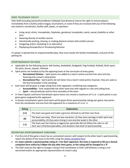# <span id="page-3-0"></span>ZERO TOLERANCE POLICY

ESSC Staff (including Games/Event/Beach Volleyball Coordinators) reserve the right to remove players immediately from a facility and/or league, tournament, or event if they are involved with any of the following acts toward a coordinator, facility staff, player, or spectator:

- Using racial, ethnic, homophobic, fatphobic, gendered, transphobic, sexist, sexual, disability or other slurs
- Swearing directly at another person
- Intentionally pushing, shoving, or making physical contact with another person
- Instigating and/or retaliating in an altercation
- Displaying disrespectful or threatening behavior

If a player is ejected due to unsportsmanlike play, they must vacate the facility immediately, inclusive of the parking lot.

# <span id="page-3-1"></span>SPORTSMANSHIP RATINGS

- Applicable for the following sports: Ball Hockey, Basketball, Dodgeball, Flag Football, Kickball, Multi-sport, Slo-pitch, Soccer, Squash, Ultimate
- Spirit points are handed out by the opposing team at the conclusion of every game
	- o *Recreational Division* Spirit points are added to a team's points earned from wins and ties, factoring into a team's total points
	- o *Recreational Plus*  Spirit points do not factor into a team's total points; however, they are used as the first tie-breaker in the standings
- Each team will be given a single rating from their opponent, combining two categories:
	- o **Accountability**  how responsible the other team was with regards to rules and calling fouls
	- o **Spirit** overall attitude and fun-first mentality of the team
- In Team Captain and Event Coordinator sports teams can receive a maximum of +1 or -1 spirit points in any given game assigned by the opponent
- In Games Coordinators sports Each team will be given three sportsmanship ratings per game; two points from the coordinator and one from the opponent for a maximum of +3 or -3

| <b>Rating</b> | <b>Explanation</b>                                                                                                                                             |
|---------------|----------------------------------------------------------------------------------------------------------------------------------------------------------------|
| $(+1)$        | The team was good and made a genuine attempt to call their own fouls                                                                                           |
| (0)           | The team was okay. There are two scenarios: (1) they were average in both spirit and<br>accountability; (2) they were strong in one area but weak in the other |
| $(-1)$        | The team was too intense or aggressive, generally did not follow the rules or call<br>their own infractions/penalties, and showed a low-level of sportsmanship |

# <span id="page-3-2"></span>REPORTING SPORTSMANSHIP CONCERNS

- If at the end of the game a team has an unresolved concern with respect to the other team's sportsmanship, report the details of the issue to the ESSC using the [online complaint form](https://www.calgarysportsclub.com/forms/sportsmanship)
- **If a team submits a sportsmanship rating of -1 for their opponent, the team is required to fill out a formal complaint form online by 5:00pm the day after their game, or the rating will be changed to a '0'**
- The ESSC reserves the right to change a rating if the Coordinator or ESSC staff believes a rating is not warranted and/or an appropriate representation of a team's play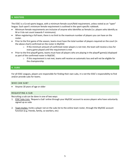# <span id="page-4-0"></span>**3. ROSTERS**

The ESSC is a Co-ed sports league, with a minimum female court/field requirement, unless noted as an "open" league. Each sport's minimum female requirement is outlined in the sport-specific rulebook.

- Minimum female requirements are inclusive of anyone who identifies as female (i.e. players who identify as M or X do not count towards F minimums).
- When registering a full team, there is no limit to the maximum number of players you can have on the roster.
- Prior to the first game of the season, teams must have the total number of players required on the court (in the above chart) confirmed on the roster in MyESSC
	- $\circ$  If the minimum amount of confirmed roster players is not met, the team will receive a loss for every game played until the requirement is met
- Prior to the first playoff game, teams must have all players who are playing in the playoff game(s) displayed as part of the confirmed roster in MyESSC.
	- $\circ$  If this requirement is not met, teams will receive an automatic loss and will not be eligible for the championship

# <span id="page-4-1"></span>**4. SUBS**

For all ESSC Leagues, players are responsible for finding their own subs, it is not the ESSC's responsibility to find and/or provide subs for teams.

# <span id="page-4-2"></span>WHO CAN SUB?

• Anyone 18 years of age or older

# <span id="page-4-3"></span>REQUESTING A SUB

Recruiting a sub can be done in one of two ways:

- 1. ESSC Subs Lists: *'Request a Sub'* online through your MyESSC account to access players who have voluntarily signed up as subs
- 2. Team Invites: Invite a player not on the subs list to the online team roster, through the MyESSC account function (e.g. friends, family, co-workers, etc)